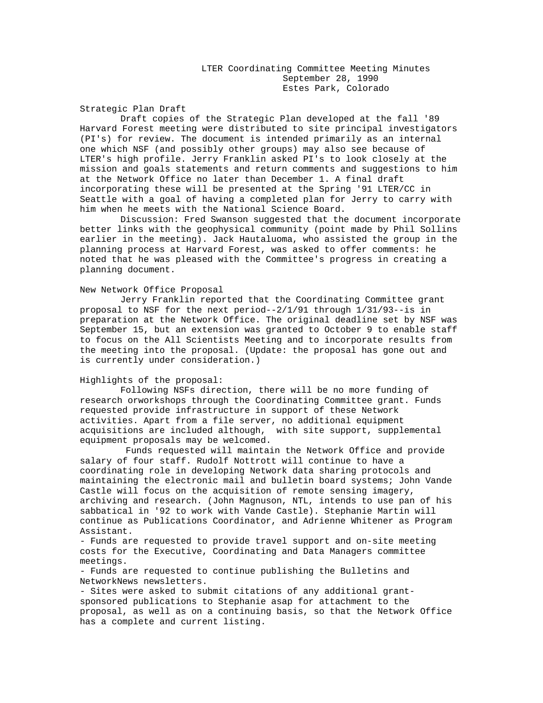# LTER Coordinating Committee Meeting Minutes September 28, 1990 Estes Park, Colorado

### Strategic Plan Draft

Draft copies of the Strategic Plan developed at the fall '89 Harvard Forest meeting were distributed to site principal investigators (PI's) for review. The document is intended primarily as an internal one which NSF (and possibly other groups) may also see because of LTER's high profile. Jerry Franklin asked PI's to look closely at the mission and goals statements and return comments and suggestions to him at the Network Office no later than December 1. A final draft incorporating these will be presented at the Spring '91 LTER/CC in Seattle with a goal of having a completed plan for Jerry to carry with him when he meets with the National Science Board.

Discussion: Fred Swanson suggested that the document incorporate better links with the geophysical community (point made by Phil Sollins earlier in the meeting). Jack Hautaluoma, who assisted the group in the planning process at Harvard Forest, was asked to offer comments: he noted that he was pleased with the Committee's progress in creating a planning document.

#### New Network Office Proposal

Jerry Franklin reported that the Coordinating Committee grant proposal to NSF for the next period--2/1/91 through 1/31/93--is in preparation at the Network Office. The original deadline set by NSF was September 15, but an extension was granted to October 9 to enable staff to focus on the All Scientists Meeting and to incorporate results from the meeting into the proposal. (Update: the proposal has gone out and is currently under consideration.)

## Highlights of the proposal:

Following NSFs direction, there will be no more funding of research orworkshops through the Coordinating Committee grant. Funds requested provide infrastructure in support of these Network activities. Apart from a file server, no additional equipment acquisitions are included although, with site support, supplemental equipment proposals may be welcomed.

Funds requested will maintain the Network Office and provide salary of four staff. Rudolf Nottrott will continue to have a coordinating role in developing Network data sharing protocols and maintaining the electronic mail and bulletin board systems; John Vande Castle will focus on the acquisition of remote sensing imagery, archiving and research. (John Magnuson, NTL, intends to use pan of his sabbatical in '92 to work with Vande Castle). Stephanie Martin will continue as Publications Coordinator, and Adrienne Whitener as Program Assistant.

- Funds are requested to provide travel support and on-site meeting costs for the Executive, Coordinating and Data Managers committee meetings.

- Funds are requested to continue publishing the Bulletins and NetworkNews newsletters.

- Sites were asked to submit citations of any additional grantsponsored publications to Stephanie asap for attachment to the proposal, as well as on a continuing basis, so that the Network Office has a complete and current listing.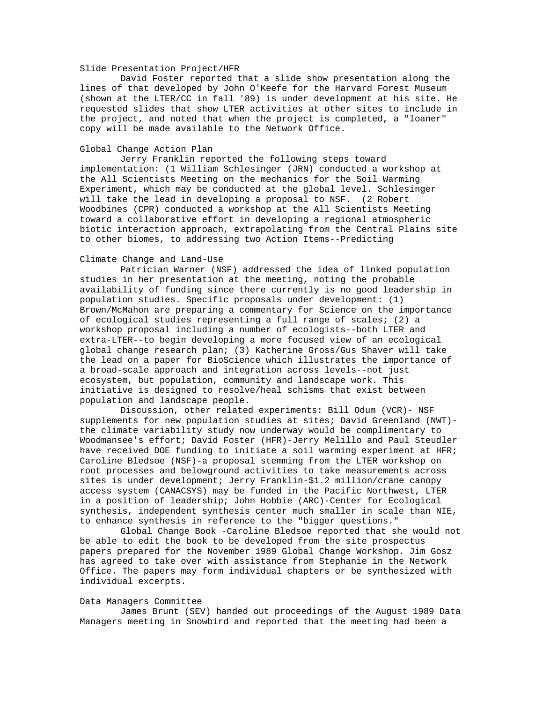# Slide Presentation Project/HFR

David Foster reported that a slide show presentation along the lines of that developed by John O'Keefe for the Harvard Forest Museum (shown at the LTER/CC in fall '89) is under development at his site. He requested slides that show LTER activities at other sites to include in the project, and noted that when the project is completed, a "loaner" copy will be made available to the Network Office.

#### Global Change Action Plan

Jerry Franklin reported the following steps toward implementation: (1 William Schlesinger (JRN) conducted a workshop at the All Scientists Meeting on the mechanics for the Soil Warming Experiment, which may be conducted at the global level. Schlesinger will take the lead in developing a proposal to NSF. (2 Robert Woodbines (CPR) conducted a workshop at the All Scientists Meeting toward a collaborative effort in developing a regional atmospheric biotic interaction approach, extrapolating from the Central Plains site to other biomes, to addressing two Action Items--Predicting

# Climate Change and Land-Use

Patrician Warner (NSF) addressed the idea of linked population studies in her presentation at the meeting, noting the probable availability of funding since there currently is no good leadership in population studies. Specific proposals under development: (1) Brown/McMahon are preparing a commentary for Science on the importance of ecological studies representing a full range of scales; (2) a workshop proposal including a number of ecologists--both LTER and extra-LTER--to begin developing a more focused view of an ecological global change research plan; (3) Katherine Gross/Gus Shaver will take the lead on a paper for BioScience which illustrates the importance of a broad-scale approach and integration across levels--not just ecosystem, but population, community and landscape work. This initiative is designed to resolve/heal schisms that exist between population and landscape people.

Discussion, other related experiments: Bill Odum (VCR)- NSF supplements for new population studies at sites; David Greenland (NWT) the climate variability study now underway would be complimentary to Woodmansee's effort; David Foster (HFR)-Jerry Melillo and Paul Steudler have received DOE funding to initiate a soil warming experiment at HFR; Caroline Bledsoe (NSF)-a proposal stemming from the LTER workshop on root processes and belowground activities to take measurements across sites is under development; Jerry Franklin-\$1.2 million/crane canopy access system (CANACSYS) may be funded in the Pacific Northwest, LTER in a position of leadership; John Hobbie (ARC)-Center for Ecological synthesis, independent synthesis center much smaller in scale than NIE, to enhance synthesis in reference to the "bigger questions."

Global Change Book -Caroline Bledsoe reported that she would not be able to edit the book to be developed from the site prospectus papers prepared for the November 1989 Global Change Workshop. Jim Gosz has agreed to take over with assistance from Stephanie in the Network Office. The papers may form individual chapters or be synthesized with individual excerpts.

#### Data Managers Committee

James Brunt (SEV) handed out proceedings of the August 1989 Data Managers meeting in Snowbird and reported that the meeting had been a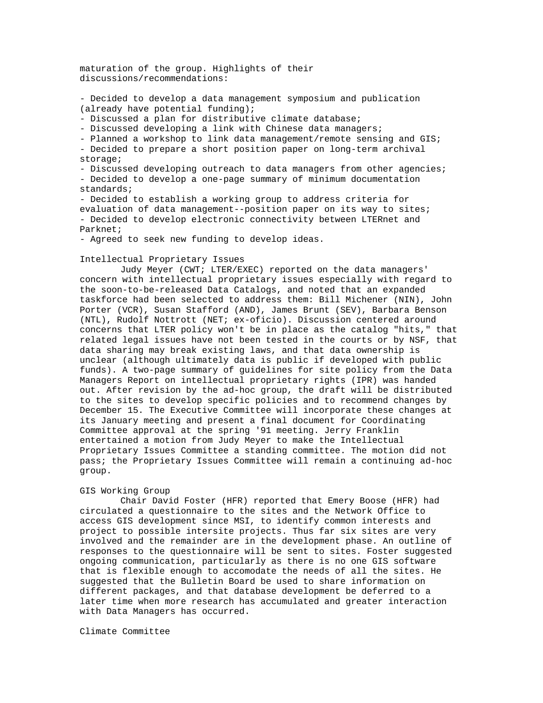maturation of the group. Highlights of their discussions/recommendations:

- Decided to develop a data management symposium and publication (already have potential funding);

- Discussed a plan for distributive climate database;

- Discussed developing a link with Chinese data managers;

- Planned a workshop to link data management/remote sensing and GIS;

- Decided to prepare a short position paper on long-term archival storage;

- Discussed developing outreach to data managers from other agencies; - Decided to develop a one-page summary of minimum documentation standards;

- Decided to establish a working group to address criteria for evaluation of data management--position paper on its way to sites; - Decided to develop electronic connectivity between LTERnet and Parknet;

- Agreed to seek new funding to develop ideas.

### Intellectual Proprietary Issues

Judy Meyer (CWT; LTER/EXEC) reported on the data managers' concern with intellectual proprietary issues especially with regard to the soon-to-be-released Data Catalogs, and noted that an expanded taskforce had been selected to address them: Bill Michener (NIN), John Porter (VCR), Susan Stafford (AND), James Brunt (SEV), Barbara Benson (NTL), Rudolf Nottrott (NET; ex-oficio). Discussion centered around concerns that LTER policy won't be in place as the catalog "hits," that related legal issues have not been tested in the courts or by NSF, that data sharing may break existing laws, and that data ownership is unclear (although ultimately data is public if developed with public funds). A two-page summary of guidelines for site policy from the Data Managers Report on intellectual proprietary rights (IPR) was handed out. After revision by the ad-hoc group, the draft will be distributed to the sites to develop specific policies and to recommend changes by December 15. The Executive Committee will incorporate these changes at its January meeting and present a final document for Coordinating Committee approval at the spring '91 meeting. Jerry Franklin entertained a motion from Judy Meyer to make the Intellectual Proprietary Issues Committee a standing committee. The motion did not pass; the Proprietary Issues Committee will remain a continuing ad-hoc group.

#### GIS Working Group

Chair David Foster (HFR) reported that Emery Boose (HFR) had circulated a questionnaire to the sites and the Network Office to access GIS development since MSI, to identify common interests and project to possible intersite projects. Thus far six sites are very involved and the remainder are in the development phase. An outline of responses to the questionnaire will be sent to sites. Foster suggested ongoing communication, particularly as there is no one GIS software that is flexible enough to accomodate the needs of all the sites. He suggested that the Bulletin Board be used to share information on different packages, and that database development be deferred to a later time when more research has accumulated and greater interaction with Data Managers has occurred.

Climate Committee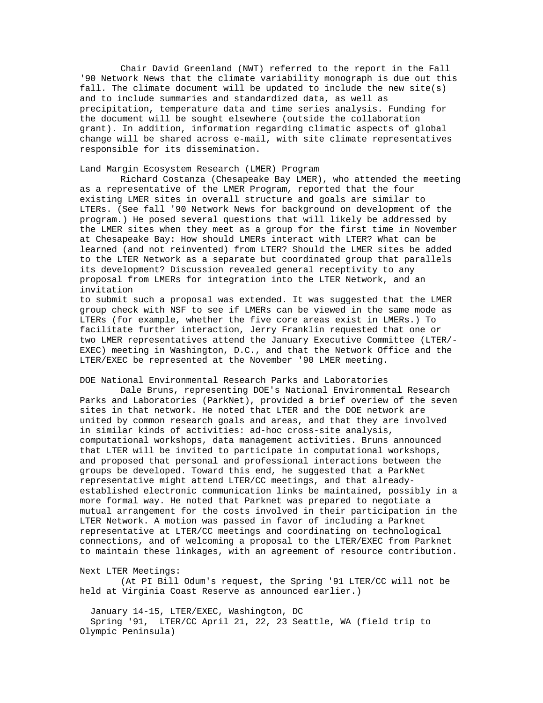Chair David Greenland (NWT) referred to the report in the Fall '90 Network News that the climate variability monograph is due out this fall. The climate document will be updated to include the new site(s) and to include summaries and standardized data, as well as precipitation, temperature data and time series analysis. Funding for the document will be sought elsewhere (outside the collaboration grant). In addition, information regarding climatic aspects of global change will be shared across e-mail, with site climate representatives responsible for its dissemination.

### Land Margin Ecosystem Research (LMER) Program

Richard Costanza (Chesapeake Bay LMER), who attended the meeting as a representative of the LMER Program, reported that the four existing LMER sites in overall structure and goals are similar to LTERs. (See fall '90 Network News for background on development of the program.) He posed several questions that will likely be addressed by the LMER sites when they meet as a group for the first time in November at Chesapeake Bay: How should LMERs interact with LTER? What can be learned (and not reinvented) from LTER? Should the LMER sites be added to the LTER Network as a separate but coordinated group that parallels its development? Discussion revealed general receptivity to any proposal from LMERs for integration into the LTER Network, and an invitation

to submit such a proposal was extended. It was suggested that the LMER group check with NSF to see if LMERs can be viewed in the same mode as LTERs (for example, whether the five core areas exist in LMERs.) To facilitate further interaction, Jerry Franklin requested that one or two LMER representatives attend the January Executive Committee (LTER/- EXEC) meeting in Washington, D.C., and that the Network Office and the LTER/EXEC be represented at the November '90 LMER meeting.

DOE National Environmental Research Parks and Laboratories

Dale Bruns, representing DOE's National Environmental Research Parks and Laboratories (ParkNet), provided a brief overiew of the seven sites in that network. He noted that LTER and the DOE network are united by common research goals and areas, and that they are involved in similar kinds of activities: ad-hoc cross-site analysis, computational workshops, data management activities. Bruns announced that LTER will be invited to participate in computational workshops, and proposed that personal and professional interactions between the groups be developed. Toward this end, he suggested that a ParkNet representative might attend LTER/CC meetings, and that alreadyestablished electronic communication links be maintained, possibly in a more formal way. He noted that Parknet was prepared to negotiate a mutual arrangement for the costs involved in their participation in the LTER Network. A motion was passed in favor of including a Parknet representative at LTER/CC meetings and coordinating on technological connections, and of welcoming a proposal to the LTER/EXEC from Parknet to maintain these linkages, with an agreement of resource contribution.

Next LTER Meetings:

(At PI Bill Odum's request, the Spring '91 LTER/CC will not be held at Virginia Coast Reserve as announced earlier.)

 January 14-15, LTER/EXEC, Washington, DC Spring '91, LTER/CC April 21, 22, 23 Seattle, WA (field trip to Olympic Peninsula)